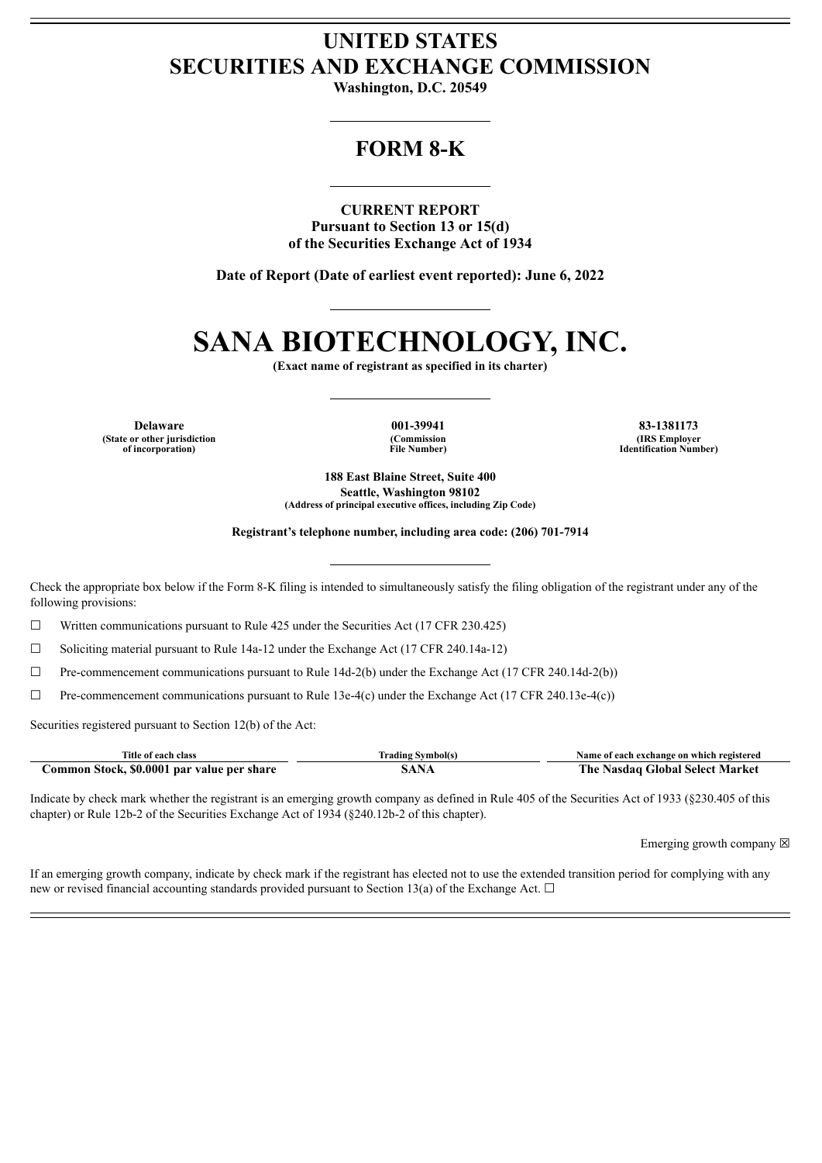## **UNITED STATES SECURITIES AND EXCHANGE COMMISSION**

**Washington, D.C. 20549**

## **FORM 8-K**

**CURRENT REPORT Pursuant to Section 13 or 15(d) of the Securities Exchange Act of 1934**

**Date of Report (Date of earliest event reported): June 6, 2022**

# **SANA BIOTECHNOLOGY, INC.**

**(Exact name of registrant as specified in its charter)**

**Delaware 001-39941 83-1381173 (State or other jurisdiction of incorporation)**

**(Commission File Number)**

**(IRS Employer Identification Number)**

**188 East Blaine Street, Suite 400 Seattle, Washington 98102 (Address of principal executive offices, including Zip Code)**

**Registrant's telephone number, including area code: (206) 701-7914**

Check the appropriate box below if the Form 8-K filing is intended to simultaneously satisfy the filing obligation of the registrant under any of the following provisions:

☐ Written communications pursuant to Rule 425 under the Securities Act (17 CFR 230.425)

 $\Box$  Soliciting material pursuant to Rule 14a-12 under the Exchange Act (17 CFR 240.14a-12)

 $\Box$  Pre-commencement communications pursuant to Rule 14d-2(b) under the Exchange Act (17 CFR 240.14d-2(b))

☐ Pre-commencement communications pursuant to Rule 13e-4(c) under the Exchange Act (17 CFR 240.13e-4(c))

Securities registered pursuant to Section 12(b) of the Act:

| Title of each class                        | Trading Symbol(s) | Name of each exchange on which registered |
|--------------------------------------------|-------------------|-------------------------------------------|
| Common Stock, \$0,0001 par value per share | A NT              | The Nasdag Global Select Market           |

Indicate by check mark whether the registrant is an emerging growth company as defined in Rule 405 of the Securities Act of 1933 (§230.405 of this chapter) or Rule 12b-2 of the Securities Exchange Act of 1934 (§240.12b-2 of this chapter).

Emerging growth company  $\boxtimes$ 

If an emerging growth company, indicate by check mark if the registrant has elected not to use the extended transition period for complying with any new or revised financial accounting standards provided pursuant to Section 13(a) of the Exchange Act.  $\Box$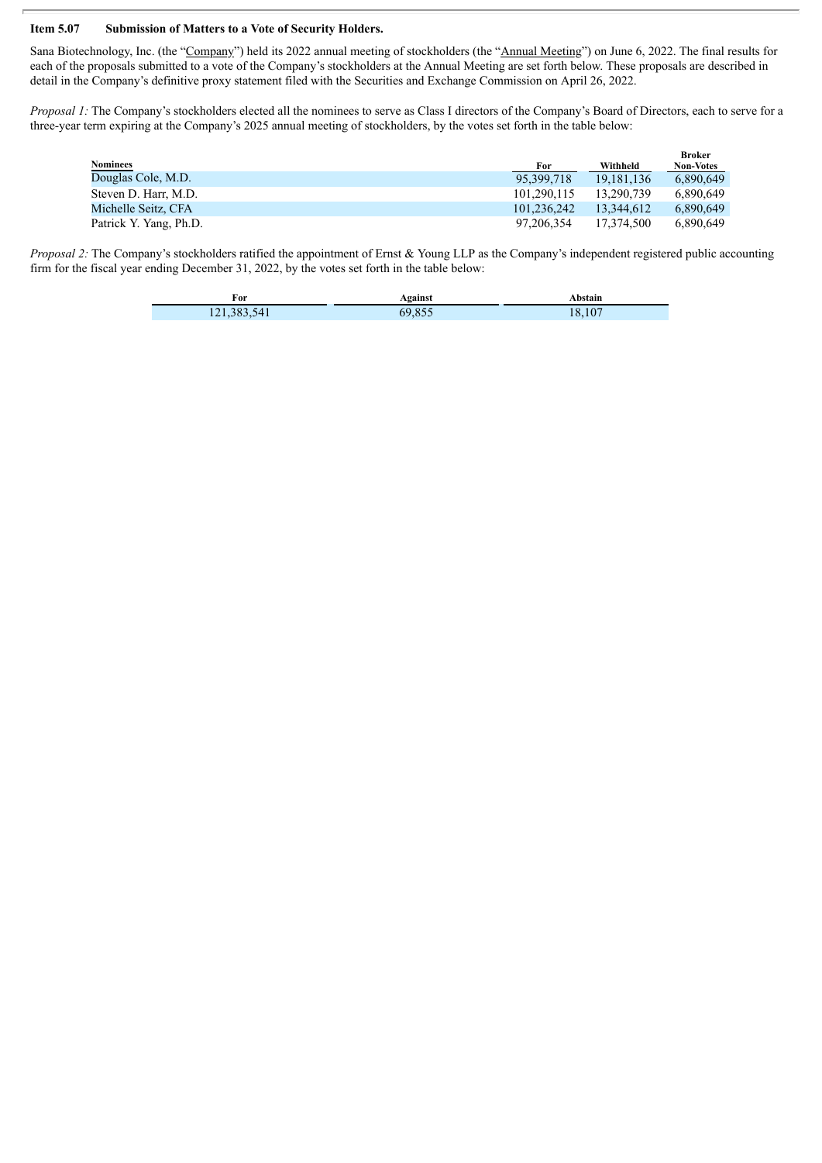#### **Item 5.07 Submission of Matters to a Vote of Security Holders.**

Sana Biotechnology, Inc. (the "Company") held its 2022 annual meeting of stockholders (the "Annual Meeting") on June 6, 2022. The final results for each of the proposals submitted to a vote of the Company's stockholders at the Annual Meeting are set forth below. These proposals are described in detail in the Company's definitive proxy statement filed with the Securities and Exchange Commission on April 26, 2022.

*Proposal 1:* The Company's stockholders elected all the nominees to serve as Class I directors of the Company's Board of Directors, each to serve for a three-year term expiring at the Company's 2025 annual meeting of stockholders, by the votes set forth in the table below:

|                        |             |            | <b>Broker</b>    |
|------------------------|-------------|------------|------------------|
| Nominees               | For         | Withheld   | <b>Non-Votes</b> |
| Douglas Cole, M.D.     | 95.399.718  | 19.181.136 | 6.890.649        |
| Steven D. Harr, M.D.   | 101.290.115 | 13.290.739 | 6.890.649        |
| Michelle Seitz, CFA    | 101.236.242 | 13.344.612 | 6.890.649        |
| Patrick Y. Yang, Ph.D. | 97.206.354  | 17.374.500 | 6.890.649        |

*Proposal* 2: The Company's stockholders ratified the appointment of Ernst & Young LLP as the Company's independent registered public accounting firm for the fiscal year ending December 31, 2022, by the votes set forth in the table below:

| For         | Against | Abstain     |
|-------------|---------|-------------|
| 121,383,541 | 69.855  | .107<br>-92 |